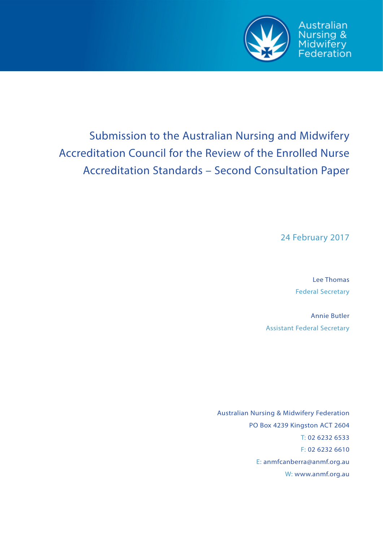

# Submission to the Australian Nursing and Midwifery Accreditation Council for the Review of the Enrolled Nurse Accreditation Standards – Second Consultation Paper

24 February 2017

Lee Thomas Federal Secretary

Annie Butler Assistant Federal Secretary

Australian Nursing & Midwifery Federation PO Box 4239 Kingston ACT 2604 T: 02 6232 6533 F: 02 6232 6610 E: anmfcanberra@anmf.org.au W: www.anmf.org.au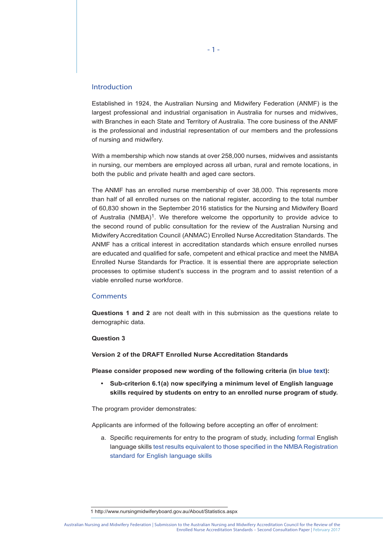#### Introduction

Established in 1924, the Australian Nursing and Midwifery Federation (ANMF) is the largest professional and industrial organisation in Australia for nurses and midwives, with Branches in each State and Territory of Australia. The core business of the ANMF is the professional and industrial representation of our members and the professions of nursing and midwifery.

With a membership which now stands at over 258,000 nurses, midwives and assistants in nursing, our members are employed across all urban, rural and remote locations, in both the public and private health and aged care sectors.

The ANMF has an enrolled nurse membership of over 38,000. This represents more than half of all enrolled nurses on the national register, according to the total number of 60,830 shown in the September 2016 statistics for the Nursing and Midwifery Board of Australia (NMBA)1. We therefore welcome the opportunity to provide advice to the second round of public consultation for the review of the Australian Nursing and Midwifery Accreditation Council (ANMAC) Enrolled Nurse Accreditation Standards. The ANMF has a critical interest in accreditation standards which ensure enrolled nurses are educated and qualified for safe, competent and ethical practice and meet the NMBA Enrolled Nurse Standards for Practice. It is essential there are appropriate selection processes to optimise student's success in the program and to assist retention of a viable enrolled nurse workforce.

#### **Comments**

**Questions 1 and 2** are not dealt with in this submission as the questions relate to demographic data.

#### **Question 3**

**Version 2 of the DRAFT Enrolled Nurse Accreditation Standards** 

**Please consider proposed new wording of the following criteria (in blue text):** 

**• Sub-criterion 6.1(a) now specifying a minimum level of English language skills required by students on entry to an enrolled nurse program of study.** 

The program provider demonstrates:

Applicants are informed of the following before accepting an offer of enrolment:

a. Specific requirements for entry to the program of study, including formal English language skills test results equivalent to those specified in the NMBA Registration standard for English language skills

<sup>1</sup> http://www.nursingmidwiferyboard.gov.au/About/Statistics.aspx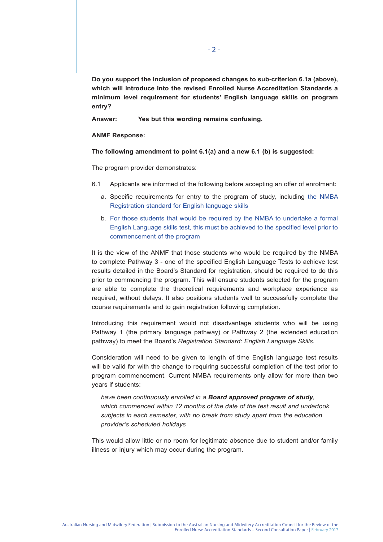**Do you support the inclusion of proposed changes to sub-criterion 6.1a (above), which will introduce into the revised Enrolled Nurse Accreditation Standards a minimum level requirement for students' English language skills on program entry?** 

**Answer: Yes but this wording remains confusing.** 

#### **ANMF Response:**

**The following amendment to point 6.1(a) and a new 6.1 (b) is suggested:**

The program provider demonstrates:

- 6.1 Applicants are informed of the following before accepting an offer of enrolment:
	- a. Specific requirements for entry to the program of study, including the NMBA Registration standard for English language skills
	- b. For those students that would be required by the NMBA to undertake a formal English Language skills test, this must be achieved to the specified level prior to commencement of the program

It is the view of the ANMF that those students who would be required by the NMBA to complete Pathway 3 - one of the specified English Language Tests to achieve test results detailed in the Board's Standard for registration, should be required to do this prior to commencing the program. This will ensure students selected for the program are able to complete the theoretical requirements and workplace experience as required, without delays. It also positions students well to successfully complete the course requirements and to gain registration following completion.

Introducing this requirement would not disadvantage students who will be using Pathway 1 (the primary language pathway) or Pathway 2 (the extended education pathway) to meet the Board's *Registration Standard: English Language Skills.*

Consideration will need to be given to length of time English language test results will be valid for with the change to requiring successful completion of the test prior to program commencement. Current NMBA requirements only allow for more than two years if students:

*have been continuously enrolled in a Board approved program of study, which commenced within 12 months of the date of the test result and undertook subjects in each semester, with no break from study apart from the education provider's scheduled holidays* 

This would allow little or no room for legitimate absence due to student and/or family illness or injury which may occur during the program.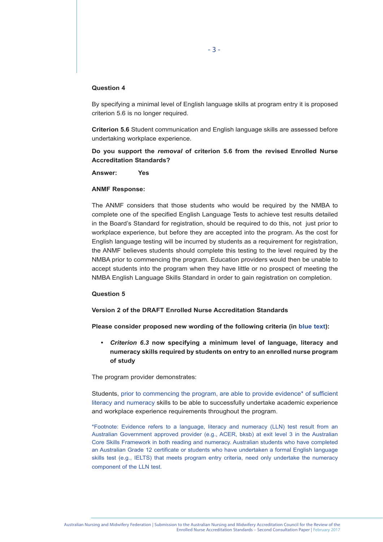#### **Question 4**

By specifying a minimal level of English language skills at program entry it is proposed criterion 5.6 is no longer required.

**Criterion 5.6** Student communication and English language skills are assessed before undertaking workplace experience.

**Do you support the** *removal* **of criterion 5.6 from the revised Enrolled Nurse Accreditation Standards?**

**Answer: Yes** 

#### **ANMF Response:**

The ANMF considers that those students who would be required by the NMBA to complete one of the specified English Language Tests to achieve test results detailed in the Board's Standard for registration, should be required to do this, not just prior to workplace experience, but before they are accepted into the program. As the cost for English language testing will be incurred by students as a requirement for registration, the ANMF believes students should complete this testing to the level required by the NMBA prior to commencing the program. Education providers would then be unable to accept students into the program when they have little or no prospect of meeting the NMBA English Language Skills Standard in order to gain registration on completion.

#### **Question 5**

#### **Version 2 of the DRAFT Enrolled Nurse Accreditation Standards**

**Please consider proposed new wording of the following criteria (in blue text):** 

**•** *Criterion 6.3* **now specifying a minimum level of language, literacy and numeracy skills required by students on entry to an enrolled nurse program of study** 

The program provider demonstrates:

Students, prior to commencing the program, are able to provide evidence\* of sufficient literacy and numeracy skills to be able to successfully undertake academic experience and workplace experience requirements throughout the program.

\*Footnote: Evidence refers to a language, literacy and numeracy (LLN) test result from an Australian Government approved provider (e.g., ACER, bksb) at exit level 3 in the Australian Core Skills Framework in both reading and numeracy. Australian students who have completed an Australian Grade 12 certificate or students who have undertaken a formal English language skills test (e.g., IELTS) that meets program entry criteria, need only undertake the numeracy component of the LLN test.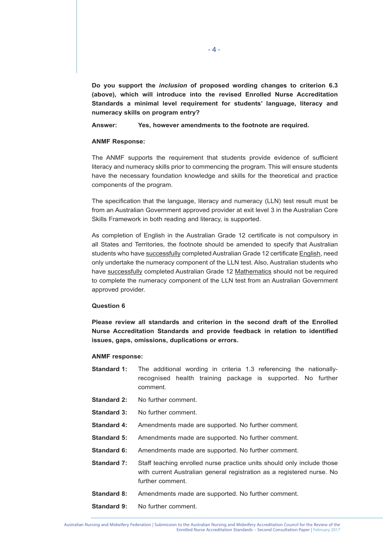**Do you support the** *inclusion* **of proposed wording changes to criterion 6.3 (above), which will introduce into the revised Enrolled Nurse Accreditation Standards a minimal level requirement for students' language, literacy and numeracy skills on program entry?**

**Answer: Yes, however amendments to the footnote are required.**

### **ANMF Response:**

The ANMF supports the requirement that students provide evidence of sufficient literacy and numeracy skills prior to commencing the program. This will ensure students have the necessary foundation knowledge and skills for the theoretical and practice components of the program.

The specification that the language, literacy and numeracy (LLN) test result must be from an Australian Government approved provider at exit level 3 in the Australian Core Skills Framework in both reading and literacy, is supported.

As completion of English in the Australian Grade 12 certificate is not compulsory in all States and Territories, the footnote should be amended to specify that Australian students who have successfully completed Australian Grade 12 certificate English, need only undertake the numeracy component of the LLN test. Also, Australian students who have successfully completed Australian Grade 12 Mathematics should not be required to complete the numeracy component of the LLN test from an Australian Government approved provider.

#### **Question 6**

**Please review all standards and criterion in the second draft of the Enrolled Nurse Accreditation Standards and provide feedback in relation to identified issues, gaps, omissions, duplications or errors.** 

#### **ANMF response:**

- **Standard 1:** The additional wording in criteria 1.3 referencing the nationally recognised health training package is supported. No further comment.
- **Standard 2:** No further comment.
- **Standard 3:** No further comment.
- **Standard 4:** Amendments made are supported. No further comment.
- **Standard 5:** Amendments made are supported. No further comment.
- **Standard 6:** Amendments made are supported. No further comment.
- **Standard 7:** Staff teaching enrolled nurse practice units should only include those with current Australian general registration as a registered nurse. No further comment.
- **Standard 8:** Amendments made are supported. No further comment.
- **Standard 9:** No further comment.